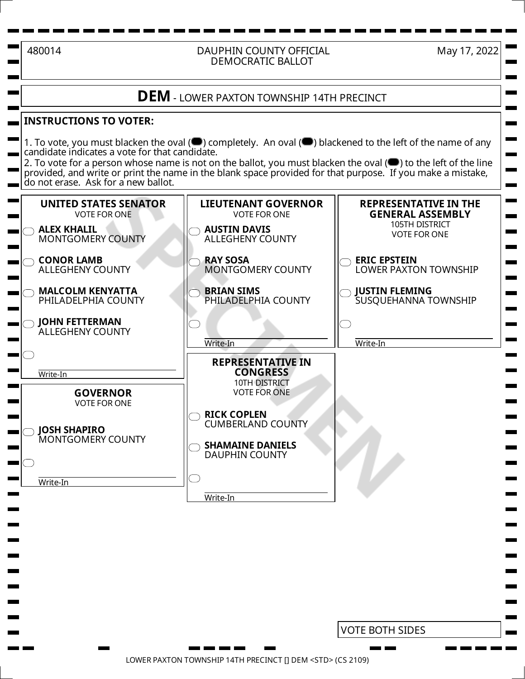## 480014 DAUPHIN COUNTY OFFICIAL DEMOCRATIC BALLOT

May 17, 2022

## **DEM** - LOWER PAXTON TOWNSHIP 14TH PRECINCT

## **INSTRUCTIONS TO VOTER:**

1. To vote, you must blacken the oval (**iii**) completely. An oval (**iii**) blackened to the left of the name of any candidate indicates a vote for that candidate.

2. To vote for a person whose name is not on the ballot, you must blacken the oval  $($ **)** to the left of the line provided, and write or print the name in the blank space provided for that purpose. If you make a mistake, do not erase. Ask for a new ballot.